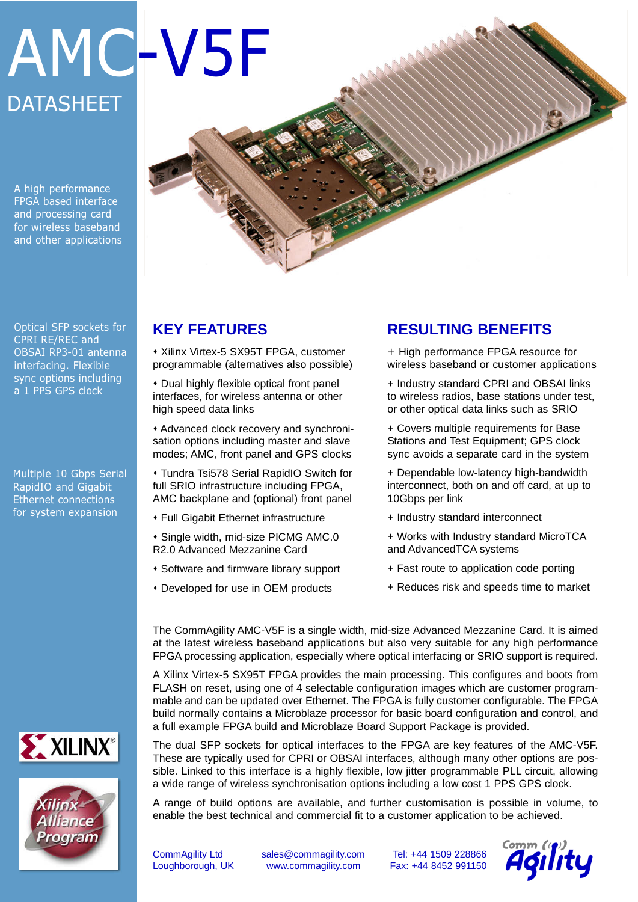# AMC-V5F **DATASHEET**

A high performance FPGA based interface and processing card for wireless baseband and other applications

Optical SFP sockets for CPRI RE/REC and OBSAI RP3-01 antenna interfacing. Flexible sync options including a 1 PPS GPS clock

Multiple 10 Gbps Serial RapidIO and Gigabit Ethernet connections for system expansion

## **KEY FEATURES**

\* Xilinx Virtex-5 SX95T FPGA, customer programmable (alternatives also possible)

• Dual highly flexible optical front panel interfaces, for wireless antenna or other high speed data links

• Advanced clock recovery and synchronisation options including master and slave modes; AMC, front panel and GPS clocks

**\* Tundra Tsi578 Serial RapidIO Switch for** full SRIO infrastructure including FPGA, AMC backplane and (optional) front panel

- **\* Full Gigabit Ethernet infrastructure**
- **\* Single width, mid-size PICMG AMC.0** R2.0 Advanced Mezzanine Card
- **\* Software and firmware library support**
- Developed for use in OEM products

## **RESULTING BENEFITS**

+ High performance FPGA resource for wireless baseband or customer applications

+ Industry standard CPRI and OBSAI links to wireless radios, base stations under test, or other optical data links such as SRIO

+ Covers multiple requirements for Base Stations and Test Equipment; GPS clock sync avoids a separate card in the system

+ Dependable low-latency high-bandwidth interconnect, both on and off card, at up to 10Gbps per link

+ Industry standard interconnect

+ Works with Industry standard MicroTCA and AdvancedTCA systems

- + Fast route to application code porting
- + Reduces risk and speeds time to market

The CommAgility AMC-V5F is a single width, mid-size Advanced Mezzanine Card. It is aimed at the latest wireless baseband applications but also very suitable for any high performance FPGA processing application, especially where optical interfacing or SRIO support is required.

A Xilinx Virtex-5 SX95T FPGA provides the main processing. This configures and boots from FLASH on reset, using one of 4 selectable configuration images which are customer programmable and can be updated over Ethernet. The FPGA is fully customer configurable. The FPGA build normally contains a Microblaze processor for basic board configuration and control, and a full example FPGA build and Microblaze Board Support Package is provided.

The dual SFP sockets for optical interfaces to the FPGA are key features of the AMC-V5F. These are typically used for CPRI or OBSAI interfaces, although many other options are possible. Linked to this interface is a highly flexible, low jitter programmable PLL circuit, allowing a wide range of wireless synchronisation options including a low cost 1 PPS GPS clock.

A range of build options are available, and further customisation is possible in volume, to enable the best technical and commercial fit to a customer application to be achieved.

CommAgility Ltd sales@commagility.com Tel: +44 1509 228866 Loughborough, UK www.commagility.com Fax: +44 8452 991150